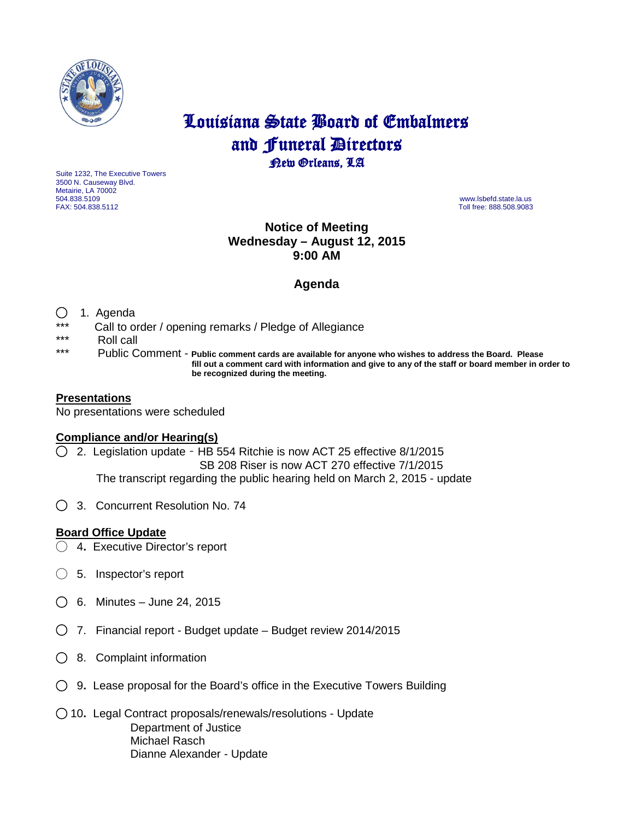

# Louisiana State Board of Embalmers and **Funeral Directors**<br>**Rew Orleans**, LA

Suite 1232, The Executive Towers 3500 N. Causeway Blvd. Metairie, LA 70002 504.838.5109 www.lsbefd.state.la.us

Toll free: 888.508.9083

## **Notice of Meeting Wednesday – August 12, 2015 9:00 AM**

## **Agenda**

#### ◯ 1. Agenda

- \*\*\* Call to order / opening remarks / Pledge of Allegiance
- \*\*\* Roll call<br>\*\*\* Publie C
- Public Comment Public comment cards are available for anyone who wishes to address the Board. Please  **fill out a comment card with information and give to any of the staff or board member in order to be recognized during the meeting.**

#### **Presentations**

No presentations were scheduled

### **Compliance and/or Hearing(s)**

- ◯ 2. Legislation update HB 554 Ritchie is now ACT 25 effective 8/1/2015 SB 208 Riser is now ACT 270 effective 7/1/2015 The transcript regarding the public hearing held on March 2, 2015 - update
- ◯3. Concurrent Resolution No. 74

#### **Board Office Update**

- ◯ 4**.** Executive Director's report
- ◯ 5.Inspector's report
- ◯6. Minutes June 24, 2015
- ◯ 7. Financial report Budget update Budget review 2014/2015
- ◯ 8. Complaint information
- ◯ 9**.** Lease proposal for the Board's office in the Executive Towers Building
- ◯ 10**.** Legal Contract proposals/renewals/resolutions Update Department of Justice Michael Rasch Dianne Alexander - Update